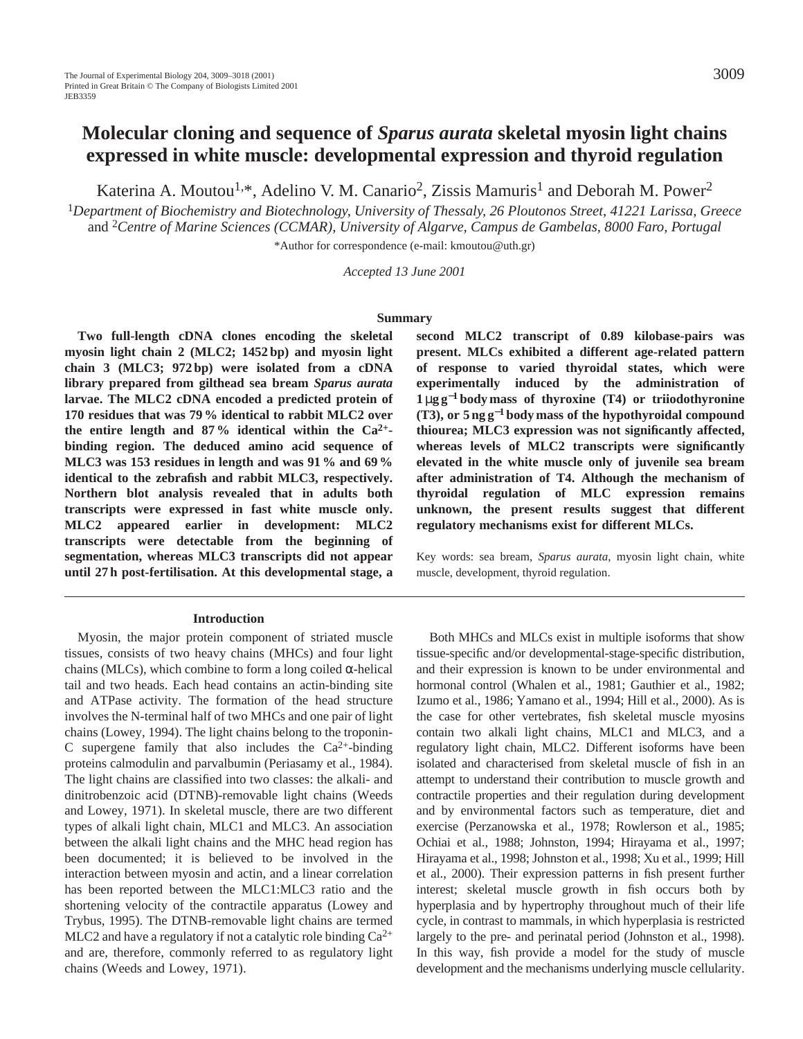# **Molecular cloning and sequence of** *Sparus aurata* **skeletal myosin light chains expressed in white muscle: developmental expression and thyroid regulation**

Katerina A. Moutou<sup>1,\*</sup>, Adelino V. M. Canario<sup>2</sup>, Zissis Mamuris<sup>1</sup> and Deborah M. Power<sup>2</sup>

<sup>1</sup>*Department of Biochemistry and Biotechnology, University of Thessaly, 26 Ploutonos Street, 41221 Larissa, Greece* and 2*Centre of Marine Sciences (CCMAR), University of Algarve, Campus de Gambelas, 8000 Faro, Portugal* 

\*Author for correspondence (e-mail: kmoutou@uth.gr)

*Accepted 13 June 2001* 

#### **Summary**

**Two full-length cDNA clones encoding the skeletal myosin light chain 2 (MLC2; 1452 bp) and myosin light chain 3 (MLC3; 972 bp) were isolated from a cDNA library prepared from gilthead sea bream** *Sparus aurata* **larvae. The MLC2 cDNA encoded a predicted protein of 170 residues that was 79 % identical to rabbit MLC2 over the entire length and 87 % identical within the Ca2+ binding region. The deduced amino acid sequence of MLC3 was 153 residues in length and was 91 % and 69 % identical to the zebrafish and rabbit MLC3, respectively. Northern blot analysis revealed that in adults both transcripts were expressed in fast white muscle only. MLC2 appeared earlier in development: MLC2 transcripts were detectable from the beginning of segmentation, whereas MLC3 transcripts did not appear until 27 h post-fertilisation. At this developmental stage, a**

#### **Introduction**

Myosin, the major protein component of striated muscle tissues, consists of two heavy chains (MHCs) and four light chains (MLCs), which combine to form a long coiled α-helical tail and two heads. Each head contains an actin-binding site and ATPase activity. The formation of the head structure involves the N-terminal half of two MHCs and one pair of light chains (Lowey, 1994). The light chains belong to the troponin-C supergene family that also includes the  $Ca^{2+}$ -binding proteins calmodulin and parvalbumin (Periasamy et al., 1984). The light chains are classified into two classes: the alkali- and dinitrobenzoic acid (DTNB)-removable light chains (Weeds and Lowey, 1971). In skeletal muscle, there are two different types of alkali light chain, MLC1 and MLC3. An association between the alkali light chains and the MHC head region has been documented; it is believed to be involved in the interaction between myosin and actin, and a linear correlation has been reported between the MLC1:MLC3 ratio and the shortening velocity of the contractile apparatus (Lowey and Trybus, 1995). The DTNB-removable light chains are termed MLC2 and have a regulatory if not a catalytic role binding  $Ca^{2+}$ and are, therefore, commonly referred to as regulatory light chains (Weeds and Lowey, 1971).

**second MLC2 transcript of 0.89 kilobase-pairs was present. MLCs exhibited a different age-related pattern of response to varied thyroidal states, which were experimentally induced by the administration of 1** µ**g g**−**<sup>1</sup> body mass of thyroxine (T4) or triiodothyronine (T3), or 5 ng g**−**<sup>1</sup> body mass of the hypothyroidal compound thiourea; MLC3 expression was not significantly affected, whereas levels of MLC2 transcripts were significantly elevated in the white muscle only of juvenile sea bream after administration of T4. Although the mechanism of thyroidal regulation of MLC expression remains unknown, the present results suggest that different regulatory mechanisms exist for different MLCs.**

Key words: sea bream, *Sparus aurata*, myosin light chain, white muscle, development, thyroid regulation.

Both MHCs and MLCs exist in multiple isoforms that show tissue-specific and/or developmental-stage-specific distribution, and their expression is known to be under environmental and hormonal control (Whalen et al., 1981; Gauthier et al., 1982; Izumo et al., 1986; Yamano et al., 1994; Hill et al., 2000). As is the case for other vertebrates, fish skeletal muscle myosins contain two alkali light chains, MLC1 and MLC3, and a regulatory light chain, MLC2. Different isoforms have been isolated and characterised from skeletal muscle of fish in an attempt to understand their contribution to muscle growth and contractile properties and their regulation during development and by environmental factors such as temperature, diet and exercise (Perzanowska et al., 1978; Rowlerson et al., 1985; Ochiai et al., 1988; Johnston, 1994; Hirayama et al., 1997; Hirayama et al., 1998; Johnston et al., 1998; Xu et al., 1999; Hill et al., 2000). Their expression patterns in fish present further interest; skeletal muscle growth in fish occurs both by hyperplasia and by hypertrophy throughout much of their life cycle, in contrast to mammals, in which hyperplasia is restricted largely to the pre- and perinatal period (Johnston et al., 1998). In this way, fish provide a model for the study of muscle development and the mechanisms underlying muscle cellularity.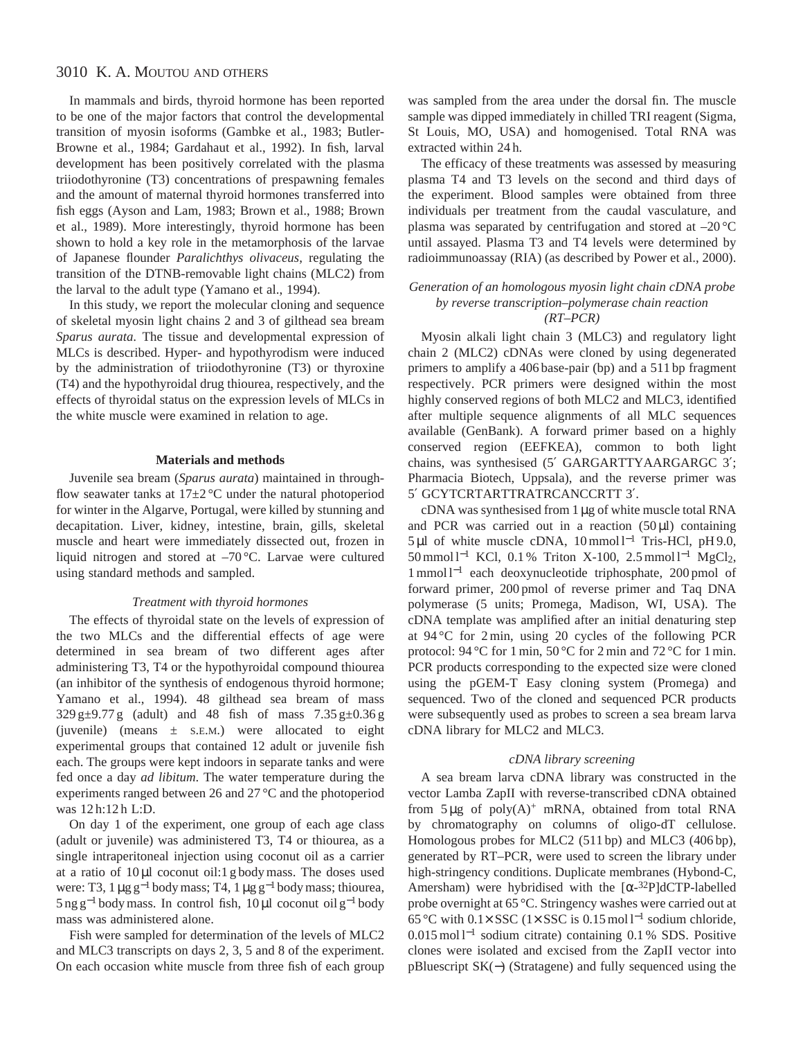In mammals and birds, thyroid hormone has been reported to be one of the major factors that control the developmental transition of myosin isoforms (Gambke et al., 1983; Butler-Browne et al., 1984; Gardahaut et al., 1992). In fish, larval development has been positively correlated with the plasma triiodothyronine (T3) concentrations of prespawning females and the amount of maternal thyroid hormones transferred into fish eggs (Ayson and Lam, 1983; Brown et al., 1988; Brown et al., 1989). More interestingly, thyroid hormone has been shown to hold a key role in the metamorphosis of the larvae of Japanese flounder *Paralichthys olivaceus*, regulating the transition of the DTNB-removable light chains (MLC2) from the larval to the adult type (Yamano et al., 1994).

In this study, we report the molecular cloning and sequence of skeletal myosin light chains 2 and 3 of gilthead sea bream *Sparus aurata*. The tissue and developmental expression of MLCs is described. Hyper- and hypothyrodism were induced by the administration of triiodothyronine (T3) or thyroxine (T4) and the hypothyroidal drug thiourea, respectively, and the effects of thyroidal status on the expression levels of MLCs in the white muscle were examined in relation to age.

### **Materials and methods**

Juvenile sea bream (*Sparus aurata*) maintained in throughflow seawater tanks at  $17\pm2$  °C under the natural photoperiod for winter in the Algarve, Portugal, were killed by stunning and decapitation. Liver, kidney, intestine, brain, gills, skeletal muscle and heart were immediately dissected out, frozen in liquid nitrogen and stored at –70 °C. Larvae were cultured using standard methods and sampled.

#### *Treatment with thyroid hormones*

The effects of thyroidal state on the levels of expression of the two MLCs and the differential effects of age were determined in sea bream of two different ages after administering T3, T4 or the hypothyroidal compound thiourea (an inhibitor of the synthesis of endogenous thyroid hormone; Yamano et al., 1994). 48 gilthead sea bream of mass  $329 g \pm 9.77 g$  (adult) and 48 fish of mass  $7.35 g \pm 0.36 g$ (juvenile) (means  $\pm$  s.e.m.) were allocated to eight experimental groups that contained 12 adult or juvenile fish each. The groups were kept indoors in separate tanks and were fed once a day *ad libitum*. The water temperature during the experiments ranged between 26 and 27 °C and the photoperiod was 12 h:12 h L:D.

On day 1 of the experiment, one group of each age class (adult or juvenile) was administered T3, T4 or thiourea, as a single intraperitoneal injection using coconut oil as a carrier at a ratio of 10 µl coconut oil:1 g body mass. The doses used were: T3,  $1 \mu g g^{-1}$  body mass; T4,  $1 \mu g g^{-1}$  body mass; thiourea,  $5 \text{ ng g}^{-1}$  body mass. In control fish, 10 µl coconut oil g<sup>-1</sup> body mass was administered alone.

Fish were sampled for determination of the levels of MLC2 and MLC3 transcripts on days 2, 3, 5 and 8 of the experiment. On each occasion white muscle from three fish of each group was sampled from the area under the dorsal fin. The muscle sample was dipped immediately in chilled TRI reagent (Sigma, St Louis, MO, USA) and homogenised. Total RNA was extracted within 24 h.

The efficacy of these treatments was assessed by measuring plasma T4 and T3 levels on the second and third days of the experiment. Blood samples were obtained from three individuals per treatment from the caudal vasculature, and plasma was separated by centrifugation and stored at  $-20^{\circ}$ C until assayed. Plasma T3 and T4 levels were determined by radioimmunoassay (RIA) (as described by Power et al., 2000).

### *Generation of an homologous myosin light chain cDNA probe by reverse transcription–polymerase chain reaction (RT–PCR)*

Myosin alkali light chain 3 (MLC3) and regulatory light chain 2 (MLC2) cDNAs were cloned by using degenerated primers to amplify a 406 base-pair (bp) and a 511 bp fragment respectively. PCR primers were designed within the most highly conserved regions of both MLC2 and MLC3, identified after multiple sequence alignments of all MLC sequences available (GenBank). A forward primer based on a highly conserved region (EEFKEA), common to both light chains, was synthesised (5′ GARGARTTYAARGARGC 3′; Pharmacia Biotech, Uppsala), and the reverse primer was 5′ GCYTCRTARTTRATRCANCCRTT 3′.

cDNA was synthesised from 1 µg of white muscle total RNA and PCR was carried out in a reaction  $(50 \,\mu\text{J})$  containing 5 µl of white muscle cDNA, 10 mmol l−<sup>1</sup> Tris-HCl, pH 9.0, 50 mmol l−<sup>1</sup> KCl, 0.1 % Triton X-100, 2.5 mmol l−<sup>1</sup> MgCl2, 1 mmol l−<sup>1</sup> each deoxynucleotide triphosphate, 200 pmol of forward primer, 200 pmol of reverse primer and Taq DNA polymerase (5 units; Promega, Madison, WI, USA). The cDNA template was amplified after an initial denaturing step at 94 °C for 2 min, using 20 cycles of the following PCR protocol: 94 °C for 1 min, 50 °C for 2 min and 72 °C for 1 min. PCR products corresponding to the expected size were cloned using the pGEM-T Easy cloning system (Promega) and sequenced. Two of the cloned and sequenced PCR products were subsequently used as probes to screen a sea bream larva cDNA library for MLC2 and MLC3.

### *cDNA library screening*

A sea bream larva cDNA library was constructed in the vector Lamba ZapII with reverse-transcribed cDNA obtained from  $5 \mu g$  of poly $(A)^+$  mRNA, obtained from total RNA by chromatography on columns of oligo-dT cellulose. Homologous probes for MLC2 (511 bp) and MLC3 (406 bp), generated by RT–PCR, were used to screen the library under high-stringency conditions. Duplicate membranes (Hybond-C, Amersham) were hybridised with the  $[\alpha^{-32}P]$ dCTP-labelled probe overnight at 65 °C. Stringency washes were carried out at 65 °C with 0.1× SSC (1× SSC is 0.15 mol l−<sup>1</sup> sodium chloride, 0.015 mol l−<sup>1</sup> sodium citrate) containing 0.1 % SDS. Positive clones were isolated and excised from the ZapII vector into pBluescript SK(−) (Stratagene) and fully sequenced using the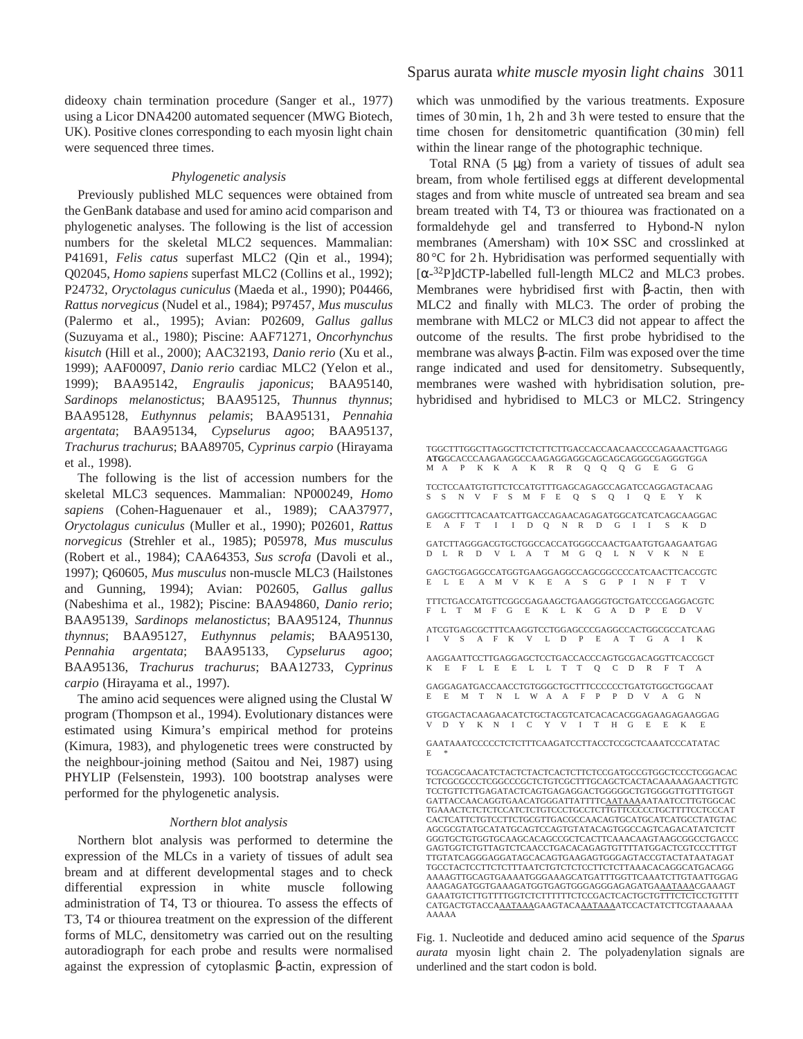dideoxy chain termination procedure (Sanger et al., 1977) using a Licor DNA4200 automated sequencer (MWG Biotech, UK). Positive clones corresponding to each myosin light chain were sequenced three times.

### *Phylogenetic analysis*

Previously published MLC sequences were obtained from the GenBank database and used for amino acid comparison and phylogenetic analyses. The following is the list of accession numbers for the skeletal MLC2 sequences. Mammalian: P41691, *Felis catus* superfast MLC2 (Qin et al., 1994); Q02045, *Homo sapiens* superfast MLC2 (Collins et al., 1992); P24732, *Oryctolagus cuniculus* (Maeda et al., 1990); P04466, *Rattus norvegicus* (Nudel et al., 1984); P97457, *Mus musculus* (Palermo et al., 1995); Avian: P02609, *Gallus gallus* (Suzuyama et al., 1980); Piscine: AAF71271, *Oncorhynchus kisutch* (Hill et al., 2000); AAC32193, *Danio rerio* (Xu et al., 1999); AAF00097, *Danio rerio* cardiac MLC2 (Yelon et al., 1999); BAA95142, *Engraulis japonicus*; BAA95140, *Sardinops melanostictus*; BAA95125, *Thunnus thynnus*; BAA95128, *Euthynnus pelamis*; BAA95131, *Pennahia argentata*; BAA95134, *Cypselurus agoo*; BAA95137, *Trachurus trachurus*; BAA89705, *Cyprinus carpio* (Hirayama et al., 1998).

The following is the list of accession numbers for the skeletal MLC3 sequences. Mammalian: NP000249, *Homo sapiens* (Cohen-Haguenauer et al., 1989); CAA37977, *Oryctolagus cuniculus* (Muller et al., 1990); P02601, *Rattus norvegicus* (Strehler et al., 1985); P05978, *Mus musculus* (Robert et al., 1984); CAA64353, *Sus scrofa* (Davoli et al., 1997); Q60605, *Mus musculus* non-muscle MLC3 (Hailstones and Gunning, 1994); Avian: P02605, *Gallus gallus* (Nabeshima et al., 1982); Piscine: BAA94860, *Danio rerio*; BAA95139, *Sardinops melanostictus*; BAA95124, *Thunnus thynnus*; BAA95127, *Euthynnus pelamis*; BAA95130, *Pennahia argentata*; BAA95133, *Cypselurus agoo*; BAA95136, *Trachurus trachurus*; BAA12733, *Cyprinus carpio* (Hirayama et al., 1997).

The amino acid sequences were aligned using the Clustal W program (Thompson et al., 1994). Evolutionary distances were estimated using Kimura's empirical method for proteins (Kimura, 1983), and phylogenetic trees were constructed by the neighbour-joining method (Saitou and Nei, 1987) using PHYLIP (Felsenstein, 1993). 100 bootstrap analyses were performed for the phylogenetic analysis.

### *Northern blot analysis*

Northern blot analysis was performed to determine the expression of the MLCs in a variety of tissues of adult sea bream and at different developmental stages and to check differential expression in white muscle following administration of T4, T3 or thiourea. To assess the effects of T3, T4 or thiourea treatment on the expression of the different forms of MLC, densitometry was carried out on the resulting autoradiograph for each probe and results were normalised against the expression of cytoplasmic β-actin, expression of which was unmodified by the various treatments. Exposure times of 30 min, 1 h, 2 h and 3 h were tested to ensure that the time chosen for densitometric quantification (30 min) fell within the linear range of the photographic technique.

Total RNA  $(5 \mu g)$  from a variety of tissues of adult sea bream, from whole fertilised eggs at different developmental stages and from white muscle of untreated sea bream and sea bream treated with T4, T3 or thiourea was fractionated on a formaldehyde gel and transferred to Hybond-N nylon membranes (Amersham) with  $10\times$  SSC and crosslinked at 80 °C for 2 h. Hybridisation was performed sequentially with  $[\alpha^{-32}P]$ dCTP-labelled full-length MLC2 and MLC3 probes. Membranes were hybridised first with β-actin, then with MLC2 and finally with MLC3. The order of probing the membrane with MLC2 or MLC3 did not appear to affect the outcome of the results. The first probe hybridised to the membrane was always β-actin. Film was exposed over the time range indicated and used for densitometry. Subsequently, membranes were washed with hybridisation solution, prehybridised and hybridised to MLC3 or MLC2. Stringency

TGGCTTTGGCTTAGGCTTCTCTTCTTGACCACCAACAACCCCAGAAACTTGAGG **ATG**GCACCCAAGAAGGCCAAGAGGAGGCAGCAGCAGGGCGAGGGTGGA M A P K K A K R R Q Q Q G E G G TCCTCCAATGTGTTCTCCATGTTTGAGCAGAGCCAGATCCAGGAGTACAAG S S N V F S M F E Q S Q I Q E Y K GAGGCTTTCACAATCATTGACCAGAACAGAGATGGCATCATCAGCAAGGAC E A F T I I D Q N R D G I I S K D GATCTTAGGGACGTGCTGGCCACCATGGGCCAACTGAATGTGAAGAATGAGDLER DVLATMGQLNVKNE D L R D V L A T M G Q L N V K N E GAGCTGGAGGCCATGGTGAAGGAGGCCAGCGGCCCCATCAACTTCACCGTC E L E A M V K E A S G P I N F T TTTCTGACCATGTTCGGCGAGAAGCTGAAGGGTGCTGATCCCGAGGACGTC F L T M F G E K L K G A D P E D ATCGTGAGCGCTTTCAAGGTCCTGGAGCCCGAGGCCACTGGCGCCATCAAG I V S A F K V L D P E A T G A I K AAGGAATTCCTTGAGGAGCTCCTGACCACCCAGTGCGACAGGTTCACCGCT K E F L E E L L T T Q C D R F T A GAGGAGATGACCAACCTGTGGGCTGCTTTCCCCCCTGATGTGGCTGGCAAT E E M T N L W A A F P P D V A G N GTGGACTACAAGAACATCTGCTACGTCATCACACACGGAGAAGAGAAGGAG V D Y K N I C Y V I T H G E E K E GAATAAATCCCCCTCTCTTTCAAGATCCTTACCTCCGCTCAAATCCCATATAC

 $E$ 

Fig. 1. Nucleotide and deduced amino acid sequence of the *Sparus aurata* myosin light chain 2. The polyadenylation signals are underlined and the start codon is bold.

TCGACGCAACATCTACTCTACTCACTCTTCTCCGATGCCGTGGCTCCCTCGGACAC TCTCGCGCCCTCGGCCCGCTCTGTCGCTTTGCAGCTCACTACAAAAAGAACTTGTC TCCTGTTCTTGAGATACTCAGTGAGAGGACTGGGGGCTGTGGGGTTGTTTGTGGT GATTACCAACAGGTGAACATGGGATTATTTTCAATAAAAATAATCCTTGTGGCAC TGAAACTCTCTCTCCATCTCTGTCCCTGCCTCTTGTTCCCCCTGCTTTTCCTCCCAT CACTCATTCTGTCCTTCTGCGTTGACGCCAACAGTGCATGCATCATGCCTATGTAC AGCGCGTATGCATATGCAGTCCAGTGTATACAGTGGCCAGTCAGACATATCTCTT GGGTGCTGTGGTGCAAGCACAGCCGCTCACTTCAAACAAGTAAGCGGCCTGACCC GAGTGGTCTGTTAGTCTCAACCTGACACAGAGTGTTTTATGGACTCGTCCCTTTGT TTGTATCAGGGAGGATAGCACAGTGAAGAGTGGGAGTACCGTACTATAATAGAT TGCCTACTCCTTCTCTTTAATCTGTCTCTCCTTCTCTTAAACACAGGCATGACAGG AAAAGTTGCAGTGAAAATGGGAAAGCATGATTTGGTTCAAATCTTGTAATTGGAG AAAGAGATGGTGAAAGATGGTGAGTGGGAGGGAGAGATGAAATAAACGAAAGT GAAATGTCTTGTTTTGGTCTCTTTTTTCTCCGACTCACTGCTGTTTCTCTCCTGTTTT CATGACTGTACCAAATAAAGAAGTACAAATAAAATCCACTATCTTCGTAAAAAA AAAAA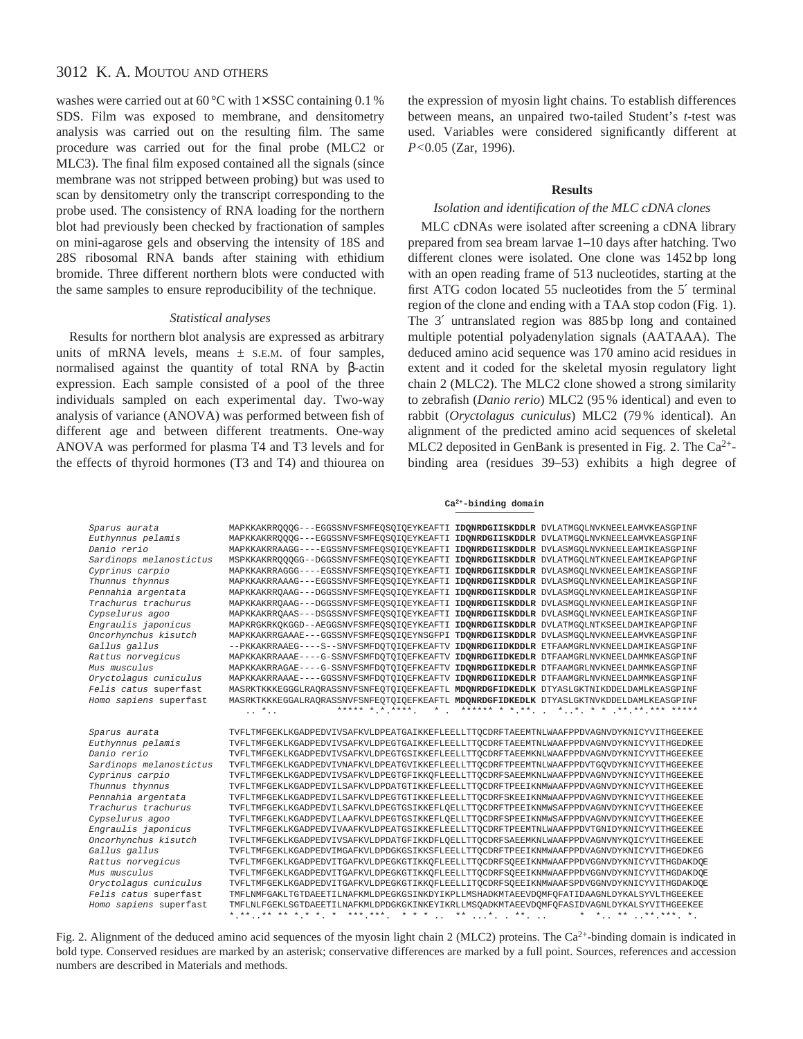washes were carried out at 60 °C with  $1 \times SSC$  containing 0.1 % SDS. Film was exposed to membrane, and densitometry analysis was carried out on the resulting film. The same procedure was carried out for the final probe (MLC2 or MLC3). The final film exposed contained all the signals (since membrane was not stripped between probing) but was used to scan by densitometry only the transcript corresponding to the probe used. The consistency of RNA loading for the northern blot had previously been checked by fractionation of samples on mini-agarose gels and observing the intensity of 18S and 28S ribosomal RNA bands after staining with ethidium bromide. Three different northern blots were conducted with the same samples to ensure reproducibility of the technique.

### *Statistical analyses*

Results for northern blot analysis are expressed as arbitrary units of mRNA levels, means  $\pm$  s.E.M. of four samples, normalised against the quantity of total RNA by β-actin expression. Each sample consisted of a pool of the three individuals sampled on each experimental day. Two-way analysis of variance (ANOVA) was performed between fish of different age and between different treatments. One-way ANOVA was performed for plasma T4 and T3 levels and for the effects of thyroid hormones (T3 and T4) and thiourea on

the expression of myosin light chains. To establish differences between means, an unpaired two-tailed Student's *t*-test was used. Variables were considered significantly different at *P<*0.05 (Zar, 1996).

#### **Results**

### *Isolation and identification of the MLC cDNA clones*

MLC cDNAs were isolated after screening a cDNA library prepared from sea bream larvae 1–10 days after hatching. Two different clones were isolated. One clone was 1452 bp long with an open reading frame of 513 nucleotides, starting at the first ATG codon located 55 nucleotides from the 5′ terminal region of the clone and ending with a TAA stop codon (Fig. 1). The 3′ untranslated region was 885 bp long and contained multiple potential polyadenylation signals (AATAAA). The deduced amino acid sequence was 170 amino acid residues in extent and it coded for the skeletal myosin regulatory light chain 2 (MLC2). The MLC2 clone showed a strong similarity to zebrafish (*Danio rerio*) MLC2 (95 % identical) and even to rabbit (*Oryctolagus cuniculus*) MLC2 (79 % identical). An alignment of the predicted amino acid sequences of skeletal MLC2 deposited in GenBank is presented in Fig. 2. The Ca2+ binding area (residues 39–53) exhibits a high degree of

#### **Ca2+-binding domain**

| Sparus aurata           | MAPKKAKRROOOG---EGGSSNVFSMFEOSOIOEYKEAFTI IDONRDGIISKDDLR DVLATMGOLNVKNEELEAMVKEASGPINF    |
|-------------------------|--------------------------------------------------------------------------------------------|
| Euthynnus pelamis       | MAPKKAKRROOOG---EGGSSNVFSMFEOSOIOEYKEAFTI<br>IDONRDGIISKDDLR DVLATMGOLNVKNEELEAMVKEASGPINF |
| Danio rerio             | IDONRDGIISKDDLR DVLASMGOLNVKNEELEAMIKEASGPINF<br>MAPKKAKRRAAGG----EGSSNVFSMFEQSOIOEYKEAFTI |
| Sardinops melanostictus | IDONRDGIISKDDLR DVLATMGQLNTKNEELEAMIKEAPGPINF<br>MSPKKAKRROOOGG--DGGSSNVFSMFEOSOIOEYKEAFTI |
| <i>Cyprinus carpio</i>  | MAPKKAKRRAGGG----EGSSNVFSMFEOSOIOEYKEAFTI<br>IDONRDGIISKDDLR DVLASMGOLNVKNEELEAMIKEASGPINF |
| Thunnus thynnus         | MAPKKAKRRAAAG---EGGSSNVFSMFEOSOIOEYKEAFTI<br>IDONRDGIISKDDLR DVLASMGOLNVKNEELEAMIKEASGPINF |
| Pennahia argentata      | MAPKKAKRROAAG---DGGSSNVFSMFEOSOIOEYKEAFTI<br>IDONRDGIISKDDLR DVLASMGOLNVKNEELEAMIKEASGPINF |
| Trachurus trachurus     | MAPKKAKRROAAG---DGGSSNVFSMFEOSOIOEYKEAFTI<br>IDONRDGIISKDDLR DVLASMGOLNVKNEELEAMIKEASGPINF |
| Cypselurus agoo         | MAPKKAKRROAAS---DSGSSNVFSMFEOSOIOEYKEAFTI<br>IDONRDGIISKDDLR DVLASMGOLNVKNEELEAMIKEASGPINF |
| Engraulis japonicus     | IDONRDGIISKDDLR DVLATMGOLNTKSEELDAMIKEAPGPINF<br>MAPKRGKRKOKGGD--AEGGSNVFSMFEOSOIOEYKEAFTI |
| Oncorhynchus kisutch    | MAPKKAKRRGAAAE---GGSSNVFSMFEOSOIOEYNSGFPI<br>TDONRDGIISKDDLR DVLASMGOLNVKNEELEAMVKEASGPINF |
| Gallus gallus           | --PKKAKRRAAEG----S--SNVFSMFDOTOIOEFKEAFTV<br>IDONRDGIIDKDDLR ETFAAMGRLNVKNEELDAMIKEASGPINF |
| Rattus norvegicus       | MAPKKAKRRAAAE----G-SSNVFSMFDOTOIOEFKEAFTV<br>IDONRDGIIDKEDLR DTFAAMGRLNVKNEELDAMMKEASGPINF |
| Mus musculus            | MAPKKAKRRAGAE----G-SSNVFSMFDOTOIOEFKEAFTV<br>IDONRDGIIDKEDLR DTFAAMGRLNVKNEELDAMMKEASGPINF |
| Oryctolagus cuniculus   | MAPKKAKRRAAAE----GGSSNVFSMFDOTOIOEFKEAFTV<br>IDONRDGIIDKEDLR DTFAAMGRLNVKNEELDAMMKEASGPINF |
| Felis catus superfast   | MASRKTKKKEGGGLRAORASSNVFSNFEOTOIOEFKEAFTL MDONRDGFIDKEDLK DTYASLGKTNIKDDELDAMLKEASGPINF    |
| Homo sapiens superfast  | MASRKTKKKEGGALRAORASSNVFSNFEOTOIOEFKEAFTL MDONRDGFIDKEDLK DTYASLGKTNVKDDELDAMLKEASGPINF    |
|                         | ***** * * ****<br>$\star$<br>$\ldots$ *                                                    |
| Sparus aurata           | TVFLTMFGEKLKGADPEDVIVSAFKVLDPEATGAIKKEFLEELLTTOCDRFTAEEMTNLWAAFPPDVAGNVDYKNICYVITHGEEKEE   |
| Euthynnus pelamis       | TVFLTMFGEKLKGADPEDVIVSAFKVLDPEGTGAIKKEFLEELLTTOCDRFTAEEMTNLWAAFPPDVAGNVDYKNICYVITHGEDKEE   |
| Danio rerio             | TVFLTMFGEKLKGADPEDVIVSAFKVLDPEGTGSIKKEFLEELLTTOCDRFTAEEMKNLWAAFPPDVAGNVDYKNICYVITHGEEKEE   |
| Sardinops melanostictus | TVFLTMFGEKLKGADPEDVIVNAFKVLDPEATGVIKKEFLEELLTTOCDRFTPEEMTNLWAAFPPDVTGOVDYKNICYVITHGEEKEE   |
| Cyprinus carpio         | TVFLTMFGEKLKGADPEDVIVSAFKVLDPEGTGFIKKOFLEELLTTOCDRFSAEEMKNLWAAFPPDVAGNVDYKNICYVITHGEEKEE   |
| Thunnus thynnus         | TVFLTMFGEKLKGADPEDVILSAFKVLDPDATGTIKKEFLEELLTTOCDRFTPEEIKNMWAAFPPDVAGNVDYKNICYVITHGEEKEE   |
| Pennahia argentata      | TVFLTMFGEKLKGADPEDVILSAFKVLDPEGTGTIKKEFLEELLTTOCDRFSKEEIKNMWAAFPPDVAGNVDYKNICYVITHGEEKEE   |
| Trachurus trachurus     | TVFLTMFGEKLKGADPEDVILSAFKVLDPEGTGSIKKEFLOELLTTOCDRFTPEEIKNMWSAFPPDVAGNVDYKNICYVITHGEEKEE   |
| Cypselurus agoo         | TVFLTMFGEKLKGADPEDVILAAFKVLDPEGTGSIKKEFLOELLTTOCDRFSPEEIKNMWSAFPPDVAGNVDYKNICYVITHGEEKEE   |
| Engraulis japonicus     | TVFLTMFGEKLKGADPEDVIVAAFKVLDPEATGSIKKEFLEELLTTOCDRFTPEEMTNLWAAFPPDVTGNIDYKNICYVITHGEEKEE   |
| Oncorhynchus kisutch    | TVFLTMFGEKLKGADPEDVIVSAFKVLDPDATGFIKKDFLQELLTTQCDRFSAEEMKNLWAAFPPDVAGNVNYKQICYVITHGEEKEE   |
| Gallus gallus           | TVFLTMFGEKLKGADPEDVIMGAFKVLDPDGKGSIKKSFLEELLTTOCDRFTPEEIKNMWAAFPPDVAGNVDYKNICYVITHGEDKEG   |
| Rattus norvegicus       | TVFLTMFGEKLKGADPEDVITGAFKVLDPEGKGTIKKQFLEELLTTQCDRFSQEEIKNMWAAFPPDVGGNVDYKNICYVITHGDAKDQE  |
| Mus musculus            | TVFLTMFGEKLKGADPEDVITGAFKVLDPEGKGTIKKOFLEELLTTOCDRFSOEEIKNMWAAFPPDVGGNVDYKNICYVITHGDAKDOE  |
|                         |                                                                                            |
| Oryctolagus cuniculus   | TVFLTMFGEKLKGADPEDVITGAFKVLDPEGKGTIKKOFLEELLITOCDRFSOEEIKNMWAAFSPDVGGNVDYKNICYVITHGDAKDOE  |
| Felis catus superfast   | TMFLNMFGAKLTGTDAEETILNAFKMLDPEGKGSINKDYIKPLLMSHADKMTAEEVDOMFOFATIDAAGNLDYKALSYVLTHGEEKEE   |
| Homo sapiens superfast  | TMFLNLFGEKLSGTDAEETILNAFKMLDPDGKGKINKEYIKRLLMSQADKMTAEEVDQMFQFASIDVAGNLDYKALSYVITHGEEKEE   |
|                         | *.**** ** *.* *. * ***.***. * * *  ** *. . **.                                             |

Fig. 2. Alignment of the deduced amino acid sequences of the myosin light chain 2 (MLC2) proteins. The Ca<sup>2+</sup>-binding domain is indicated in bold type. Conserved residues are marked by an asterisk; conservative differences are marked by a full point. Sources, references and accession numbers are described in Materials and methods.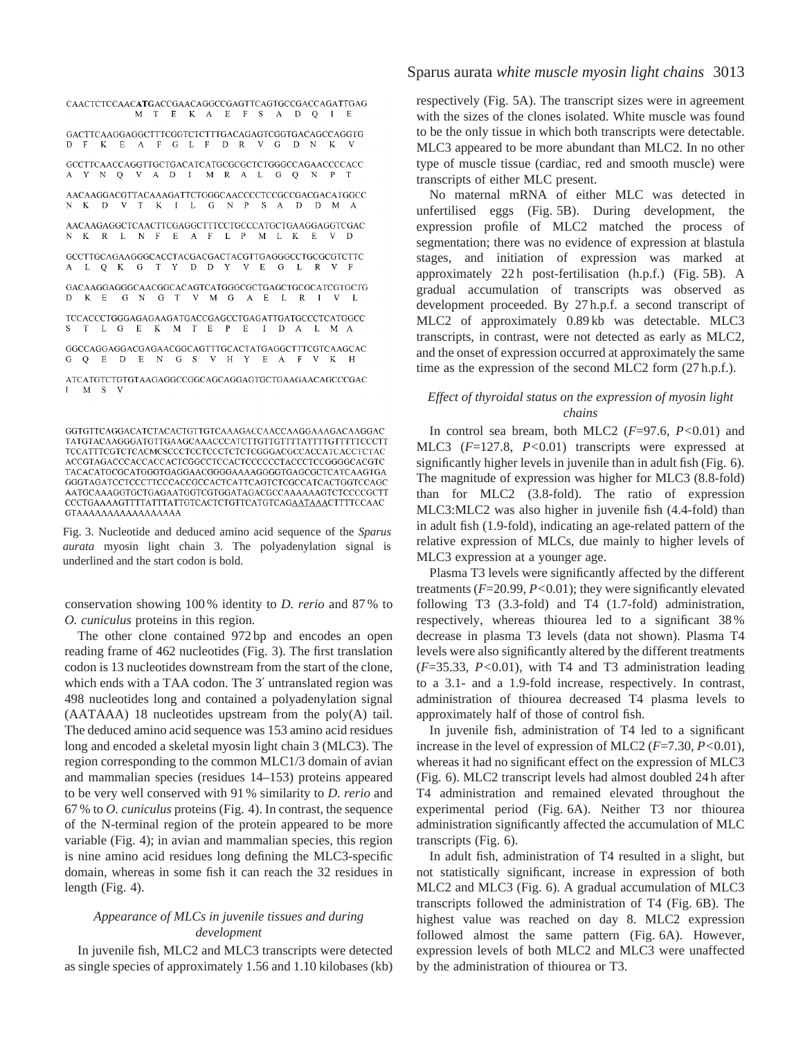CAACTCTCCAACATGACCGAACAGGCCGAGTTCAGTGCCGACCAGATTGAG M T E K A E F S A D Q I E GACTTCAAGGAGGCTTTCGGTCTCTTTGACAGAGTCGGTGACAGCCAGGTG D F K E A F G L F D R V G D N K V GCCTTCAACCAGGTTGCTGACATCATGCGCGCTCTGGGCCAGAACCCCACC A Y N Q V A D I M R A L G Q N P T AACAAGGACGTTACAAAGATTCTGGGCAACCCCTCCGCCGACGACATGGCC N K D V T K I L G N P S A D D M A  ${\bf AACAAGGACTCAACTTCGAGGCTTTCCTGCCCATGCTGAAGGAGGTCGAC}$ N K R L N F E A F L P M L K E  $V$  D GCCTTGCAGAAGGGCACCTACGACGACTACGTTGAGGGCCTGCGCGTCTTC A L Q K G T Y D D Y V E G L R V F GACAAGGAGGCAACGGCACAGTCATGGGCGCTGAGCTGCGCATCGTGCTG D K E G N G T V M G A E L R I V L TCCACCCTGGGAGAGAAGATGACCGAGCCTGAGATTGATGCCCTCATGGCC S T L G E K M T E P E I D A L M A GGCCAGGAGGACGAGAACGGCAGTTTGCACTATGAGGCTTTCGTCAAGCAC G Q E D E N G S V H Y E A F V K H ATCATGTCTGTGTAAGAGGCCGGCAGCAGGAGTGCTGAAGAACAGCCCGAC I M S V

Fig. 3. Nucleotide and deduced amino acid sequence of the *Sparus aurata* myosin light chain 3. The polyadenylation signal is underlined and the start codon is bold.

conservation showing 100 % identity to *D. rerio* and 87 % to *O. cuniculus* proteins in this region*.*

The other clone contained 972 bp and encodes an open reading frame of 462 nucleotides (Fig. 3). The first translation codon is 13 nucleotides downstream from the start of the clone, which ends with a TAA codon. The 3' untranslated region was 498 nucleotides long and contained a polyadenylation signal (AATAAA) 18 nucleotides upstream from the poly(A) tail. The deduced amino acid sequence was 153 amino acid residues long and encoded a skeletal myosin light chain 3 (MLC3). The region corresponding to the common MLC1/3 domain of avian and mammalian species (residues 14–153) proteins appeared to be very well conserved with 91 % similarity to *D. rerio* and 67 % to *O. cuniculus* proteins (Fig. 4). In contrast, the sequence of the N-terminal region of the protein appeared to be more variable (Fig. 4); in avian and mammalian species, this region is nine amino acid residues long defining the MLC3-specific domain, whereas in some fish it can reach the 32 residues in length (Fig. 4).

### *Appearance of MLCs in juvenile tissues and during development*

In juvenile fish, MLC2 and MLC3 transcripts were detected as single species of approximately 1.56 and 1.10 kilobases (kb) Sparus aurata *white muscle myosin light chains* 3013

respectively (Fig. 5A). The transcript sizes were in agreement with the sizes of the clones isolated. White muscle was found to be the only tissue in which both transcripts were detectable. MLC3 appeared to be more abundant than MLC2. In no other type of muscle tissue (cardiac, red and smooth muscle) were transcripts of either MLC present.

No maternal mRNA of either MLC was detected in unfertilised eggs (Fig. 5B). During development, the expression profile of MLC2 matched the process of segmentation; there was no evidence of expression at blastula stages, and initiation of expression was marked at approximately 22 h post-fertilisation (h.p.f.) (Fig. 5B). A gradual accumulation of transcripts was observed as development proceeded. By 27 h.p.f. a second transcript of MLC2 of approximately 0.89 kb was detectable. MLC3 transcripts, in contrast, were not detected as early as MLC2, and the onset of expression occurred at approximately the same time as the expression of the second MLC2 form (27 h.p.f.).

### *Effect of thyroidal status on the expression of myosin light chains*

In control sea bream, both MLC2 (*F*=97.6, *P<*0.01) and MLC3 (*F*=127.8, *P<*0.01) transcripts were expressed at significantly higher levels in juvenile than in adult fish (Fig. 6). The magnitude of expression was higher for MLC3 (8.8-fold) than for MLC2 (3.8-fold). The ratio of expression MLC3:MLC2 was also higher in juvenile fish (4.4-fold) than in adult fish (1.9-fold), indicating an age-related pattern of the relative expression of MLCs, due mainly to higher levels of MLC3 expression at a younger age.

Plasma T3 levels were significantly affected by the different treatments (*F*=20.99, *P<*0.01); they were significantly elevated following T3 (3.3-fold) and T4 (1.7-fold) administration, respectively, whereas thiourea led to a significant 38 % decrease in plasma T3 levels (data not shown). Plasma T4 levels were also significantly altered by the different treatments (*F*=35.33, *P<*0.01), with T4 and T3 administration leading to a 3.1- and a 1.9-fold increase, respectively. In contrast, administration of thiourea decreased T4 plasma levels to approximately half of those of control fish.

In juvenile fish, administration of T4 led to a significant increase in the level of expression of MLC2 (*F*=7.30, *P<*0.01), whereas it had no significant effect on the expression of MLC3 (Fig. 6). MLC2 transcript levels had almost doubled 24 h after T4 administration and remained elevated throughout the experimental period (Fig. 6A). Neither T3 nor thiourea administration significantly affected the accumulation of MLC transcripts (Fig. 6).

In adult fish, administration of T4 resulted in a slight, but not statistically significant, increase in expression of both MLC2 and MLC3 (Fig. 6). A gradual accumulation of MLC3 transcripts followed the administration of T4 (Fig. 6B). The highest value was reached on day 8. MLC2 expression followed almost the same pattern (Fig. 6A). However, expression levels of both MLC2 and MLC3 were unaffected by the administration of thiourea or T3.

TATGTACAAGGGATGTTGAAGCAAACCCATCTTGTTGTTTTATTTTGTTTTCCCTT TCCATTTCGTCTCACMCSCCCTCCTCCCTCTCTCGGGACGCCACCATCACCTCTAC ACCGTAGACCCACCACCACTCGGCCTCCACTCCCCCCTACCCTCCGGGGCACGTC TACACATGCGCATGGGTGAGGAACGGGGAAAAGGGGTGAGCGCTCATCAAGTGA GGGTAGATCCTCCCTTCCCACCGCCACTCATTCAGTCTCGCCATCACTGGTCCAGC AATGCAAAGGTGCTGAGAATGGTCGTGGATAGACGCCAAAAAAGTCTCCCCGCTT  ${\tt CCCTGAAAAGTTTTATTATTGTCACTCTGTTCATGTCAG\underline{AATAAA}CTTTTCCAAC}$ GTAAAAAAAAAAAAAAAAA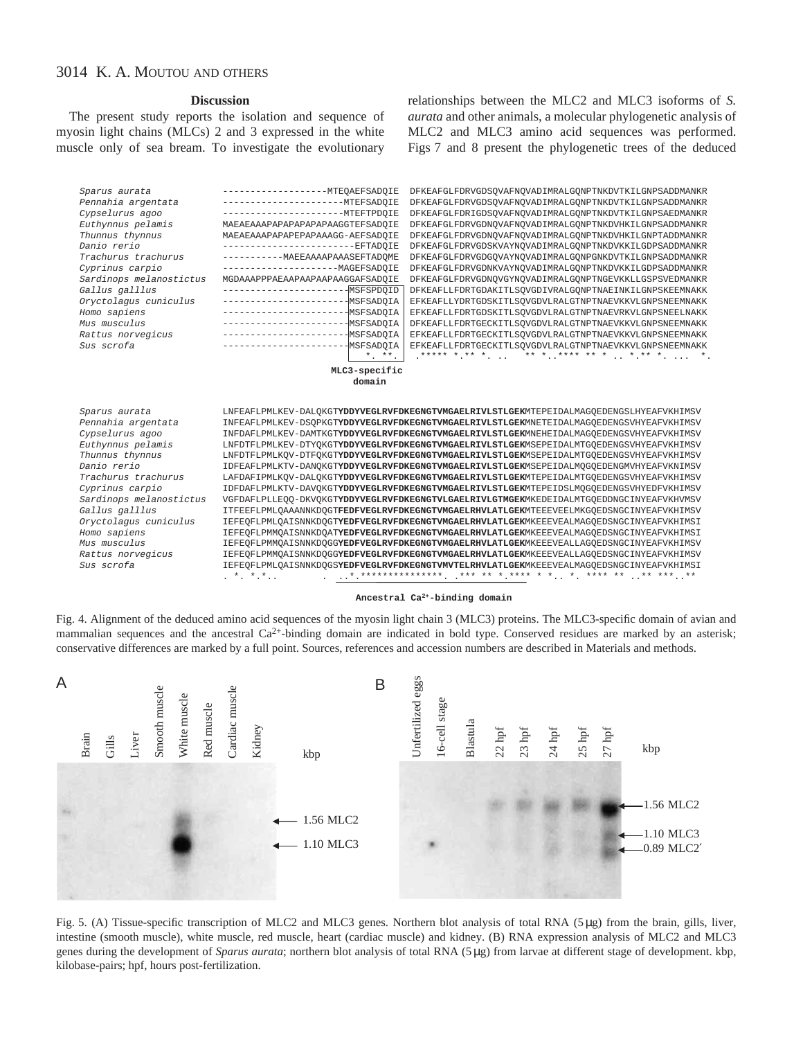#### **Discussion**

The present study reports the isolation and sequence of myosin light chains (MLCs) 2 and 3 expressed in the white muscle only of sea bream. To investigate the evolutionary relationships between the MLC2 and MLC3 isoforms of *S. aurata* and other animals, a molecular phylogenetic analysis of MLC2 and MLC3 amino acid sequences was performed. Figs 7 and 8 present the phylogenetic trees of the deduced



#### **Ancestral Ca2+ -binding domain**

Fig. 4. Alignment of the deduced amino acid sequences of the myosin light chain 3 (MLC3) proteins. The MLC3-specific domain of avian and mammalian sequences and the ancestral  $Ca^{2+}$ -binding domain are indicated in bold type. Conserved residues are marked by an asterisk; conservative differences are marked by a full point. Sources, references and accession numbers are described in Materials and methods.



Fig. 5. (A) Tissue-specific transcription of MLC2 and MLC3 genes. Northern blot analysis of total RNA (5 µg) from the brain, gills, liver, intestine (smooth muscle), white muscle, red muscle, heart (cardiac muscle) and kidney. (B) RNA expression analysis of MLC2 and MLC3 genes during the development of *Sparus aurata*; northern blot analysis of total RNA (5 µg) from larvae at different stage of development. kbp, kilobase-pairs; hpf, hours post-fertilization.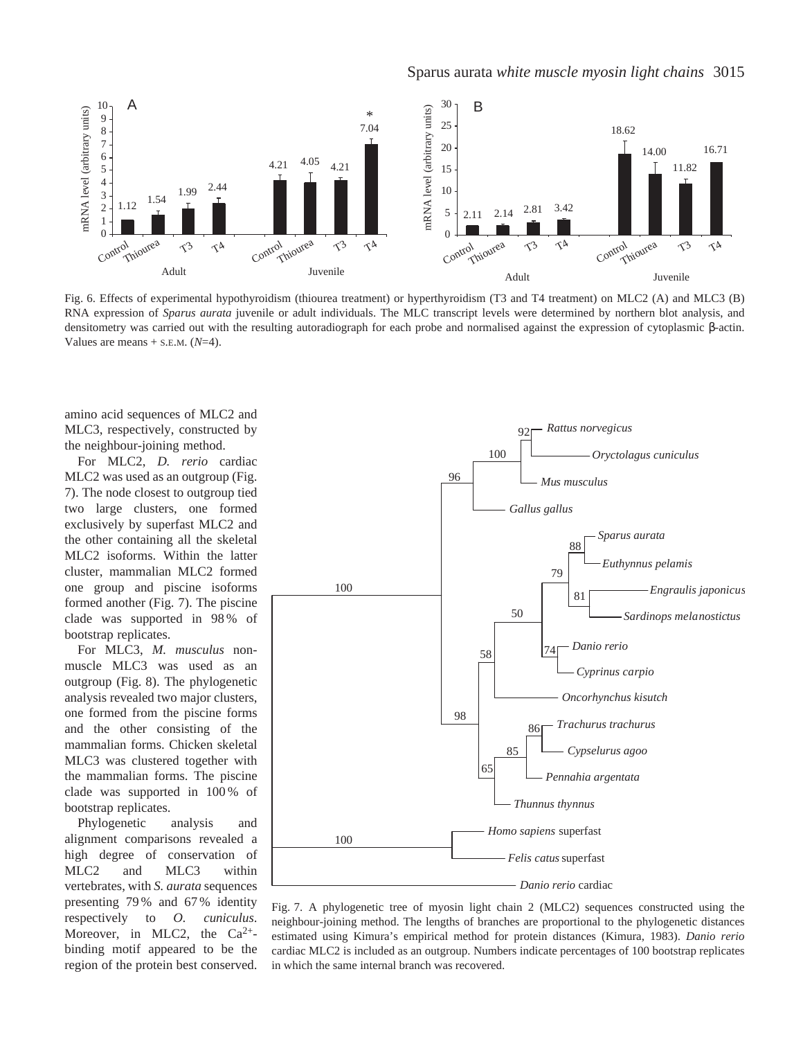

Fig. 6. Effects of experimental hypothyroidism (thiourea treatment) or hyperthyroidism (T3 and T4 treatment) on MLC2 (A) and MLC3 (B) RNA expression of *Sparus aurata* juvenile or adult individuals. The MLC transcript levels were determined by northern blot analysis, and densitometry was carried out with the resulting autoradiograph for each probe and normalised against the expression of cytoplasmic β-actin. Values are means  $+$  s.e.m.  $(N=4)$ .

amino acid sequences of MLC2 and MLC3, respectively, constructed by the neighbour-joining method.

For MLC2, *D. rerio* cardiac MLC2 was used as an outgroup (Fig. 7). The node closest to outgroup tied two large clusters, one formed exclusively by superfast MLC2 and the other containing all the skeletal MLC2 isoforms. Within the latter cluster, mammalian MLC2 formed one group and piscine isoforms formed another (Fig. 7). The piscine clade was supported in 98 % of bootstrap replicates.

For MLC3, *M. musculus* nonmuscle MLC3 was used as an outgroup (Fig. 8). The phylogenetic analysis revealed two major clusters, one formed from the piscine forms and the other consisting of the mammalian forms. Chicken skeletal MLC3 was clustered together with the mammalian forms. The piscine clade was supported in 100 % of bootstrap replicates.

Phylogenetic analysis and alignment comparisons revealed a high degree of conservation of MLC2 and MLC3 within vertebrates, with *S. aurata* sequences presenting 79 % and 67 % identity respectively to *O. cuniculus*. Moreover, in MLC2, the  $Ca^{2+}$ binding motif appeared to be the region of the protein best conserved.



Fig. 7. A phylogenetic tree of myosin light chain 2 (MLC2) sequences constructed using the neighbour-joining method. The lengths of branches are proportional to the phylogenetic distances estimated using Kimura's empirical method for protein distances (Kimura, 1983). *Danio rerio* cardiac MLC2 is included as an outgroup. Numbers indicate percentages of 100 bootstrap replicates in which the same internal branch was recovered.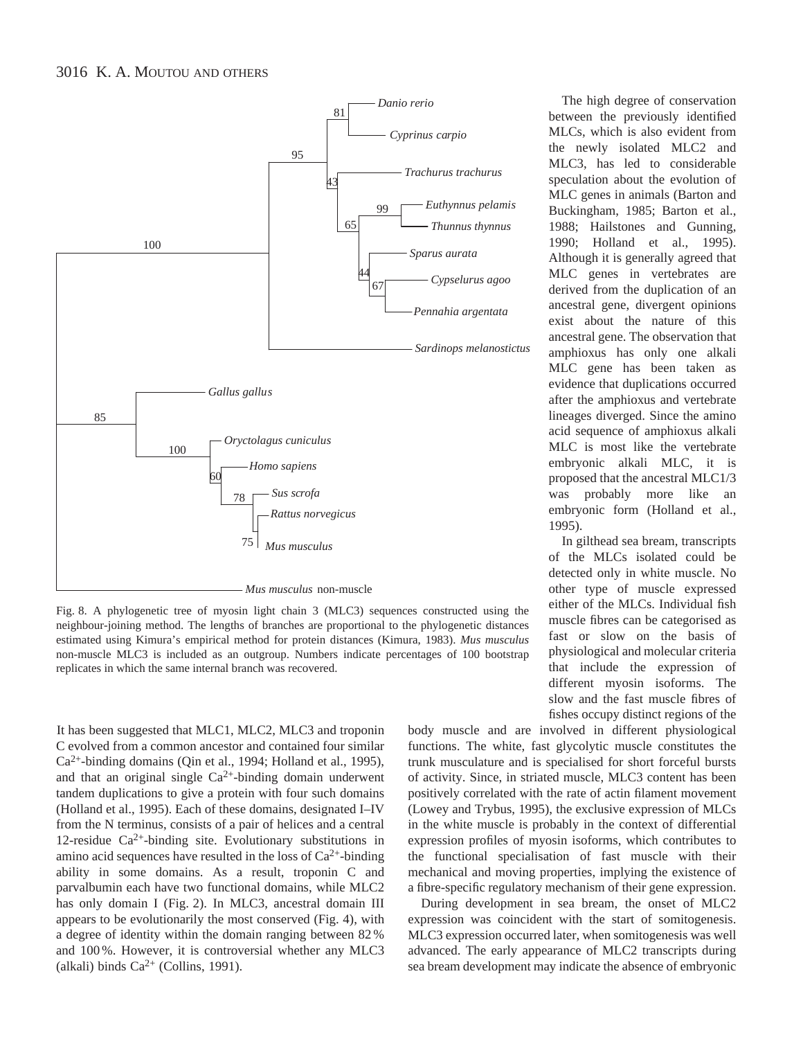

Fig. 8. A phylogenetic tree of myosin light chain 3 (MLC3) sequences constructed using the neighbour-joining method. The lengths of branches are proportional to the phylogenetic distances estimated using Kimura's empirical method for protein distances (Kimura, 1983). *Mus musculus* non-muscle MLC3 is included as an outgroup. Numbers indicate percentages of 100 bootstrap replicates in which the same internal branch was recovered.

It has been suggested that MLC1, MLC2, MLC3 and troponin C evolved from a common ancestor and contained four similar Ca2+-binding domains (Qin et al., 1994; Holland et al., 1995), and that an original single  $Ca^{2+}$ -binding domain underwent tandem duplications to give a protein with four such domains (Holland et al., 1995). Each of these domains, designated I–IV from the N terminus, consists of a pair of helices and a central 12-residue  $Ca^{2+}$ -binding site. Evolutionary substitutions in amino acid sequences have resulted in the loss of  $Ca^{2+}$ -binding ability in some domains. As a result, troponin C and parvalbumin each have two functional domains, while MLC2 has only domain I (Fig. 2). In MLC3, ancestral domain III appears to be evolutionarily the most conserved (Fig. 4), with a degree of identity within the domain ranging between 82 % and 100 %. However, it is controversial whether any MLC3 (alkali) binds  $Ca^{2+}$  (Collins, 1991).

The high degree of conservation between the previously identified MLCs, which is also evident from the newly isolated MLC2 and MLC3, has led to considerable speculation about the evolution of MLC genes in animals (Barton and Buckingham, 1985; Barton et al., 1988; Hailstones and Gunning, 1990; Holland et al., 1995). Although it is generally agreed that MLC genes in vertebrates are derived from the duplication of an ancestral gene, divergent opinions exist about the nature of this ancestral gene. The observation that amphioxus has only one alkali MLC gene has been taken as evidence that duplications occurred after the amphioxus and vertebrate lineages diverged. Since the amino acid sequence of amphioxus alkali MLC is most like the vertebrate embryonic alkali MLC, it is proposed that the ancestral MLC1/3 was probably more like an embryonic form (Holland et al., 1995).

In gilthead sea bream, transcripts of the MLCs isolated could be detected only in white muscle. No other type of muscle expressed either of the MLCs. Individual fish muscle fibres can be categorised as fast or slow on the basis of physiological and molecular criteria that include the expression of different myosin isoforms. The slow and the fast muscle fibres of fishes occupy distinct regions of the

body muscle and are involved in different physiological functions. The white, fast glycolytic muscle constitutes the trunk musculature and is specialised for short forceful bursts of activity. Since, in striated muscle, MLC3 content has been positively correlated with the rate of actin filament movement (Lowey and Trybus, 1995), the exclusive expression of MLCs in the white muscle is probably in the context of differential expression profiles of myosin isoforms, which contributes to the functional specialisation of fast muscle with their mechanical and moving properties, implying the existence of a fibre-specific regulatory mechanism of their gene expression.

During development in sea bream, the onset of MLC2 expression was coincident with the start of somitogenesis. MLC3 expression occurred later, when somitogenesis was well advanced. The early appearance of MLC2 transcripts during sea bream development may indicate the absence of embryonic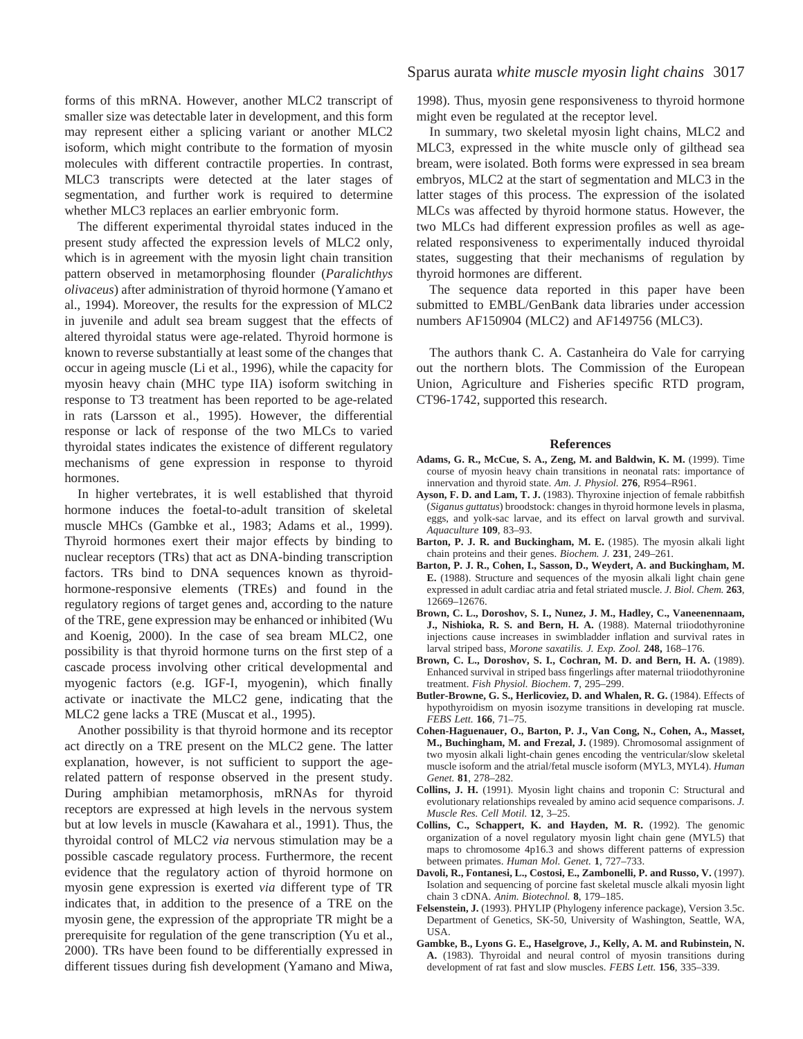forms of this mRNA. However, another MLC2 transcript of smaller size was detectable later in development, and this form may represent either a splicing variant or another MLC2 isoform, which might contribute to the formation of myosin molecules with different contractile properties. In contrast, MLC3 transcripts were detected at the later stages of segmentation, and further work is required to determine whether MLC3 replaces an earlier embryonic form.

The different experimental thyroidal states induced in the present study affected the expression levels of MLC2 only, which is in agreement with the myosin light chain transition pattern observed in metamorphosing flounder (*Paralichthys olivaceus*) after administration of thyroid hormone (Yamano et al., 1994). Moreover, the results for the expression of MLC2 in juvenile and adult sea bream suggest that the effects of altered thyroidal status were age-related. Thyroid hormone is known to reverse substantially at least some of the changes that occur in ageing muscle (Li et al., 1996), while the capacity for myosin heavy chain (MHC type IIA) isoform switching in response to T3 treatment has been reported to be age-related in rats (Larsson et al., 1995). However, the differential response or lack of response of the two MLCs to varied thyroidal states indicates the existence of different regulatory mechanisms of gene expression in response to thyroid hormones.

In higher vertebrates, it is well established that thyroid hormone induces the foetal-to-adult transition of skeletal muscle MHCs (Gambke et al., 1983; Adams et al., 1999). Thyroid hormones exert their major effects by binding to nuclear receptors (TRs) that act as DNA-binding transcription factors. TRs bind to DNA sequences known as thyroidhormone-responsive elements (TREs) and found in the regulatory regions of target genes and, according to the nature of the TRE, gene expression may be enhanced or inhibited (Wu and Koenig, 2000). In the case of sea bream MLC2, one possibility is that thyroid hormone turns on the first step of a cascade process involving other critical developmental and myogenic factors (e.g. IGF-I, myogenin), which finally activate or inactivate the MLC2 gene, indicating that the MLC2 gene lacks a TRE (Muscat et al., 1995).

Another possibility is that thyroid hormone and its receptor act directly on a TRE present on the MLC2 gene. The latter explanation, however, is not sufficient to support the agerelated pattern of response observed in the present study. During amphibian metamorphosis, mRNAs for thyroid receptors are expressed at high levels in the nervous system but at low levels in muscle (Kawahara et al., 1991). Thus, the thyroidal control of MLC2 *via* nervous stimulation may be a possible cascade regulatory process. Furthermore, the recent evidence that the regulatory action of thyroid hormone on myosin gene expression is exerted *via* different type of TR indicates that, in addition to the presence of a TRE on the myosin gene, the expression of the appropriate TR might be a prerequisite for regulation of the gene transcription (Yu et al., 2000). TRs have been found to be differentially expressed in different tissues during fish development (Yamano and Miwa,

1998). Thus, myosin gene responsiveness to thyroid hormone might even be regulated at the receptor level.

In summary, two skeletal myosin light chains, MLC2 and MLC3, expressed in the white muscle only of gilthead sea bream, were isolated. Both forms were expressed in sea bream embryos, MLC2 at the start of segmentation and MLC3 in the latter stages of this process. The expression of the isolated MLCs was affected by thyroid hormone status. However, the two MLCs had different expression profiles as well as agerelated responsiveness to experimentally induced thyroidal states, suggesting that their mechanisms of regulation by thyroid hormones are different.

The sequence data reported in this paper have been submitted to EMBL/GenBank data libraries under accession numbers AF150904 (MLC2) and AF149756 (MLC3).

The authors thank C. A. Castanheira do Vale for carrying out the northern blots. The Commission of the European Union, Agriculture and Fisheries specific RTD program, CT96-1742, supported this research.

#### **References**

- **Adams, G. R., McCue, S. A., Zeng, M. and Baldwin, K. M.** (1999). Time course of myosin heavy chain transitions in neonatal rats: importance of innervation and thyroid state. *Am. J. Physiol.* **276**, R954–R961.
- **Ayson, F. D. and Lam, T. J.** (1983). Thyroxine injection of female rabbitfish (*Siganus guttatus*) broodstock: changes in thyroid hormone levels in plasma, eggs, and yolk-sac larvae, and its effect on larval growth and survival. *Aquaculture* **109**, 83–93.
- **Barton, P. J. R. and Buckingham, M. E.** (1985). The myosin alkali light chain proteins and their genes. *Biochem. J.* **231**, 249–261.
- **Barton, P. J. R., Cohen, I., Sasson, D., Weydert, A. and Buckingham, M. E.** (1988). Structure and sequences of the myosin alkali light chain gene expressed in adult cardiac atria and fetal striated muscle. *J. Biol. Chem.* **263**, 12669–12676.
- **Brown, C. L., Doroshov, S. I., Nunez, J. M., Hadley, C., Vaneenennaam, J., Nishioka, R. S. and Bern, H. A.** (1988). Maternal triiodothyronine injections cause increases in swimbladder inflation and survival rates in larval striped bass, *Morone saxatilis. J. Exp. Zool.* **248,** 168–176.
- **Brown, C. L., Doroshov, S. I., Cochran, M. D. and Bern, H. A.** (1989). Enhanced survival in striped bass fingerlings after maternal triiodothyronine treatment. *Fish Physiol. Biochem*. **7**, 295–299.
- Butler-Browne, G. S., Herlicoviez, D. and Whalen, R. G. (1984). Effects of hypothyroidism on myosin isozyme transitions in developing rat muscle. *FEBS Lett.* **166**, 71–75.
- **Cohen-Haguenauer, O., Barton, P. J., Van Cong, N., Cohen, A., Masset, M., Buchingham, M. and Frezal, J.** (1989). Chromosomal assignment of two myosin alkali light-chain genes encoding the ventricular/slow skeletal muscle isoform and the atrial/fetal muscle isoform (MYL3, MYL4). *Human Genet.* **81**, 278–282.
- **Collins, J. H.** (1991). Myosin light chains and troponin C: Structural and evolutionary relationships revealed by amino acid sequence comparisons. *J. Muscle Res. Cell Motil.* **12**, 3–25.
- **Collins, C., Schappert, K. and Hayden, M. R.** (1992). The genomic organization of a novel regulatory myosin light chain gene (MYL5) that maps to chromosome 4p16.3 and shows different patterns of expression between primates. *Human Mol. Genet.* **1**, 727–733.
- **Davoli, R., Fontanesi, L., Costosi, E., Zambonelli, P. and Russo, V.** (1997). Isolation and sequencing of porcine fast skeletal muscle alkali myosin light chain 3 cDNA. *Anim. Biotechnol.* **8**, 179–185.
- **Felsenstein, J.** (1993). PHYLIP (Phylogeny inference package), Version 3.5c. Department of Genetics, SK-50, University of Washington, Seattle, WA, USA.
- **Gambke, B., Lyons G. E., Haselgrove, J., Kelly, A. M. and Rubinstein, N. A.** (1983). Thyroidal and neural control of myosin transitions during development of rat fast and slow muscles. *FEBS Lett.* **156**, 335–339.